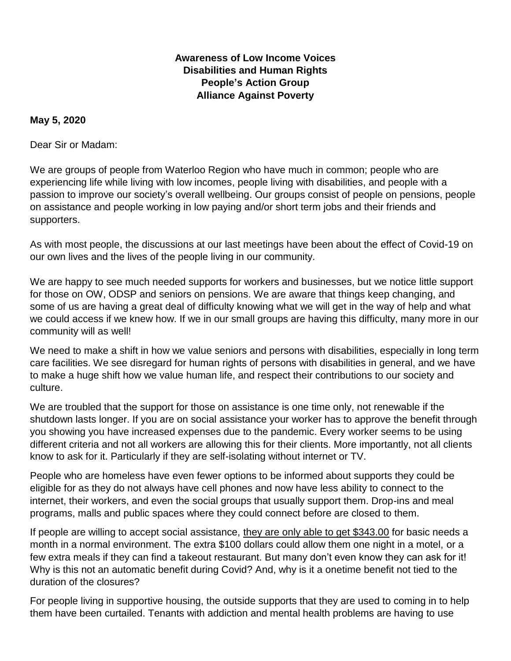## **Awareness of Low Income Voices Disabilities and Human Rights People's Action Group Alliance Against Poverty**

## **May 5, 2020**

Dear Sir or Madam:

We are groups of people from Waterloo Region who have much in common; people who are experiencing life while living with low incomes, people living with disabilities, and people with a passion to improve our society's overall wellbeing. Our groups consist of people on pensions, people on assistance and people working in low paying and/or short term jobs and their friends and supporters.

As with most people, the discussions at our last meetings have been about the effect of Covid-19 on our own lives and the lives of the people living in our community.

We are happy to see much needed supports for workers and businesses, but we notice little support for those on OW, ODSP and seniors on pensions. We are aware that things keep changing, and some of us are having a great deal of difficulty knowing what we will get in the way of help and what we could access if we knew how. If we in our small groups are having this difficulty, many more in our community will as well!

We need to make a shift in how we value seniors and persons with disabilities, especially in long term care facilities. We see disregard for human rights of persons with disabilities in general, and we have to make a huge shift how we value human life, and respect their contributions to our society and culture.

We are troubled that the support for those on assistance is one time only, not renewable if the shutdown lasts longer. If you are on social assistance your worker has to approve the benefit through you showing you have increased expenses due to the pandemic. Every worker seems to be using different criteria and not all workers are allowing this for their clients. More importantly, not all clients know to ask for it. Particularly if they are self-isolating without internet or TV.

People who are homeless have even fewer options to be informed about supports they could be eligible for as they do not always have cell phones and now have less ability to connect to the internet, their workers, and even the social groups that usually support them. Drop-ins and meal programs, malls and public spaces where they could connect before are closed to them.

If people are willing to accept social assistance, they are only able to get \$343.00 for basic needs a month in a normal environment. The extra \$100 dollars could allow them one night in a motel, or a few extra meals if they can find a takeout restaurant. But many don't even know they can ask for it! Why is this not an automatic benefit during Covid? And, why is it a onetime benefit not tied to the duration of the closures?

For people living in supportive housing, the outside supports that they are used to coming in to help them have been curtailed. Tenants with addiction and mental health problems are having to use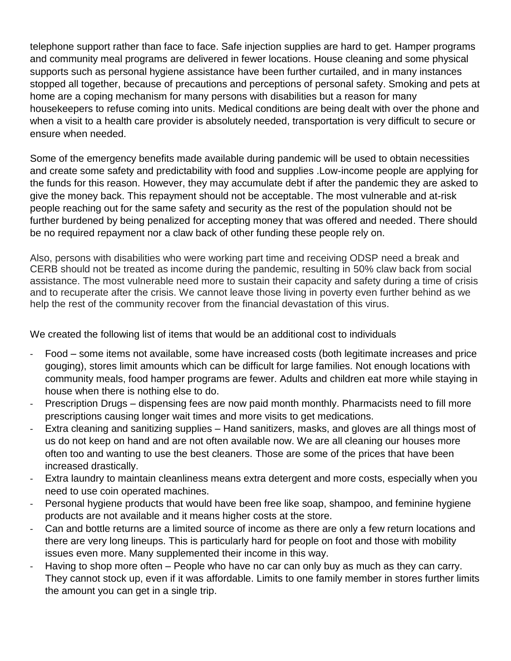telephone support rather than face to face. Safe injection supplies are hard to get. Hamper programs and community meal programs are delivered in fewer locations. House cleaning and some physical supports such as personal hygiene assistance have been further curtailed, and in many instances stopped all together, because of precautions and perceptions of personal safety. Smoking and pets at home are a coping mechanism for many persons with disabilities but a reason for many housekeepers to refuse coming into units. Medical conditions are being dealt with over the phone and when a visit to a health care provider is absolutely needed, transportation is very difficult to secure or ensure when needed.

Some of the emergency benefits made available during pandemic will be used to obtain necessities and create some safety and predictability with food and supplies .Low-income people are applying for the funds for this reason. However, they may accumulate debt if after the pandemic they are asked to give the money back. This repayment should not be acceptable. The most vulnerable and at-risk people reaching out for the same safety and security as the rest of the population should not be further burdened by being penalized for accepting money that was offered and needed. There should be no required repayment nor a claw back of other funding these people rely on.

Also, persons with disabilities who were working part time and receiving ODSP need a break and CERB should not be treated as income during the pandemic, resulting in 50% claw back from social assistance. The most vulnerable need more to sustain their capacity and safety during a time of crisis and to recuperate after the crisis. We cannot leave those living in poverty even further behind as we help the rest of the community recover from the financial devastation of this virus.

We created the following list of items that would be an additional cost to individuals

- Food some items not available, some have increased costs (both legitimate increases and price gouging), stores limit amounts which can be difficult for large families. Not enough locations with community meals, food hamper programs are fewer. Adults and children eat more while staying in house when there is nothing else to do.
- Prescription Drugs dispensing fees are now paid month monthly. Pharmacists need to fill more prescriptions causing longer wait times and more visits to get medications.
- Extra cleaning and sanitizing supplies Hand sanitizers, masks, and gloves are all things most of us do not keep on hand and are not often available now. We are all cleaning our houses more often too and wanting to use the best cleaners. Those are some of the prices that have been increased drastically.
- Extra laundry to maintain cleanliness means extra detergent and more costs, especially when you need to use coin operated machines.
- Personal hygiene products that would have been free like soap, shampoo, and feminine hygiene products are not available and it means higher costs at the store.
- Can and bottle returns are a limited source of income as there are only a few return locations and there are very long lineups. This is particularly hard for people on foot and those with mobility issues even more. Many supplemented their income in this way.
- Having to shop more often People who have no car can only buy as much as they can carry. They cannot stock up, even if it was affordable. Limits to one family member in stores further limits the amount you can get in a single trip.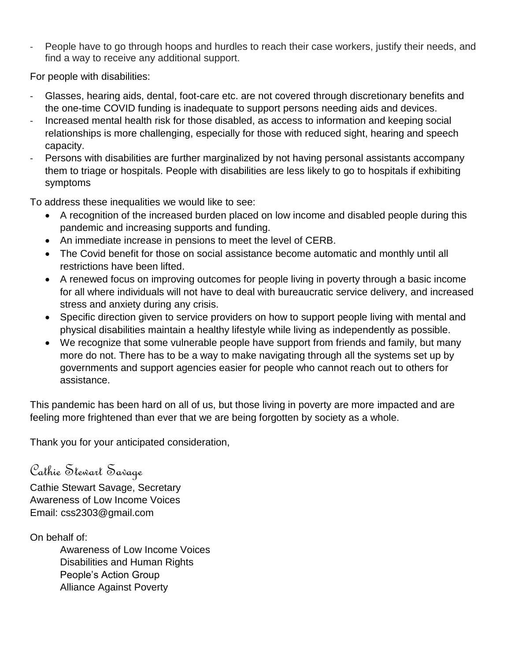- People have to go through hoops and hurdles to reach their case workers, justify their needs, and find a way to receive any additional support.

For people with disabilities:

- Glasses, hearing aids, dental, foot-care etc. are not covered through discretionary benefits and the one-time COVID funding is inadequate to support persons needing aids and devices.
- Increased mental health risk for those disabled, as access to information and keeping social relationships is more challenging, especially for those with reduced sight, hearing and speech capacity.
- Persons with disabilities are further marginalized by not having personal assistants accompany them to triage or hospitals. People with disabilities are less likely to go to hospitals if exhibiting symptoms

To address these inequalities we would like to see:

- A recognition of the increased burden placed on low income and disabled people during this pandemic and increasing supports and funding.
- An immediate increase in pensions to meet the level of CERB.
- The Covid benefit for those on social assistance become automatic and monthly until all restrictions have been lifted.
- A renewed focus on improving outcomes for people living in poverty through a basic income for all where individuals will not have to deal with bureaucratic service delivery, and increased stress and anxiety during any crisis.
- Specific direction given to service providers on how to support people living with mental and physical disabilities maintain a healthy lifestyle while living as independently as possible.
- We recognize that some vulnerable people have support from friends and family, but many more do not. There has to be a way to make navigating through all the systems set up by governments and support agencies easier for people who cannot reach out to others for assistance.

This pandemic has been hard on all of us, but those living in poverty are more impacted and are feeling more frightened than ever that we are being forgotten by society as a whole.

Thank you for your anticipated consideration,

Cathie Stewart Savage

Cathie Stewart Savage, Secretary Awareness of Low Income Voices Email: css2303@gmail.com

On behalf of:

Awareness of Low Income Voices Disabilities and Human Rights People's Action Group Alliance Against Poverty